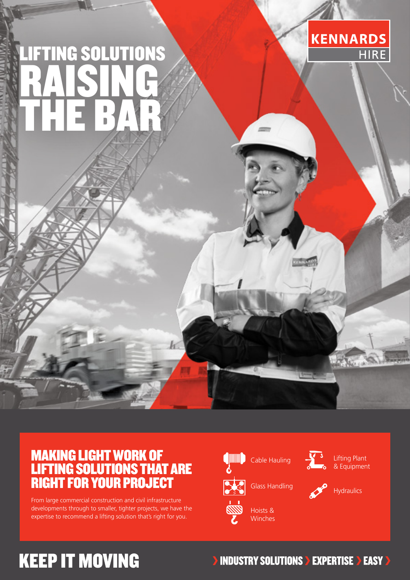# LIFTING SOLUTIONS RAISING THE BAR



### MAKING LIGHT WORK OF LIFTING SOLUTIONS THAT ARE RIGHT FOR YOUR PROJECT

From large commercial construction and civil infrastructure developments through to smaller, tighter projects, we have the expertise to recommend a lifting solution that's right for you.



Cable Hauling



Lifting Plant & Equipment

**Hydraulics** 

## **KEEP IT MOVING**

**INDUSTRY SOLUTIONS > EXPERTISE > EASY >**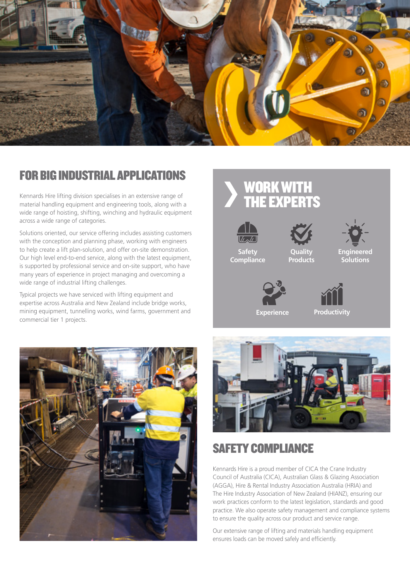

#### FOR BIG INDUSTRIAL APPLICATIONS

Kennards Hire lifting division specialises in an extensive range of material handling equipment and engineering tools, along with a wide range of hoisting, shifting, winching and hydraulic equipment across a wide range of categories.

Solutions oriented, our service offering includes assisting customers with the conception and planning phase, working with engineers to help create a lift plan-solution, and offer on-site demonstration. Our high level end-to-end service, along with the latest equipment, is supported by professional service and on-site support, who have many years of experience in project managing and overcoming a wide range of industrial lifting challenges.

Typical projects we have serviced with lifting equipment and expertise across Australia and New Zealand include bridge works, mining equipment, tunnelling works, wind farms, government and commercial tier 1 projects.











**Safety Compliance**



**Engineered Solutions**



**Productivity**



### SAFETY COMPLIANCE

Kennards Hire is a proud member of CICA the Crane Industry Council of Australia (CICA), Australian Glass & Glazing Association (AGGA), Hire & Rental Industry Association Australia (HRIA) and The Hire Industry Association of New Zealand (HIANZ), ensuring our work practices conform to the latest legislation, standards and good practice. We also operate safety management and compliance systems to ensure the quality across our product and service range.

Our extensive range of lifting and materials handling equipment ensures loads can be moved safely and efficiently.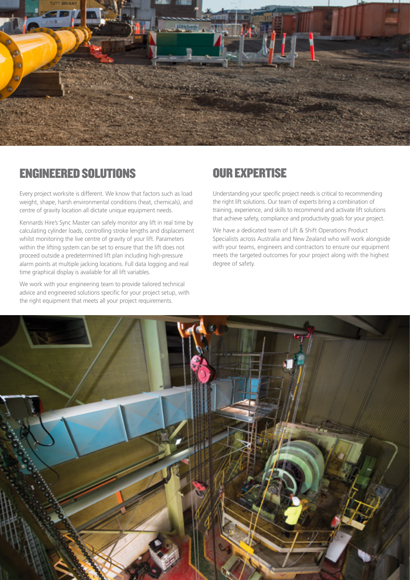

#### ENGINEERED SOLUTIONS

Every project worksite is different. We know that factors such as load weight, shape, harsh environmental conditions (heat, chemicals), and centre of gravity location all dictate unique equipment needs.

Kennards Hire's Sync Master can safely monitor any lift in real time by calculating cylinder loads, controlling stroke lengths and displacement whilst monitoring the live centre of gravity of your lift. Parameters within the lifting system can be set to ensure that the lift does not proceed outside a predetermined lift plan including high-pressure alarm points at multiple jacking locations. Full data logging and real time graphical display is available for all lift variables.

We work with your engineering team to provide tailored technical advice and engineered solutions specific for your project setup, with the right equipment that meets all your project requirements.

#### OUR EXPERTISE

Understanding your specific project needs is critical to recommending the right lift solutions. Our team of experts bring a combination of training, experience, and skills to recommend and activate lift solutions that achieve safety, compliance and productivity goals for your project.

We have a dedicated team of Lift & Shift Operations Product Specialists across Australia and New Zealand who will work alongside with your teams, engineers and contractors to ensure our equipment meets the targeted outcomes for your project along with the highest degree of safety.